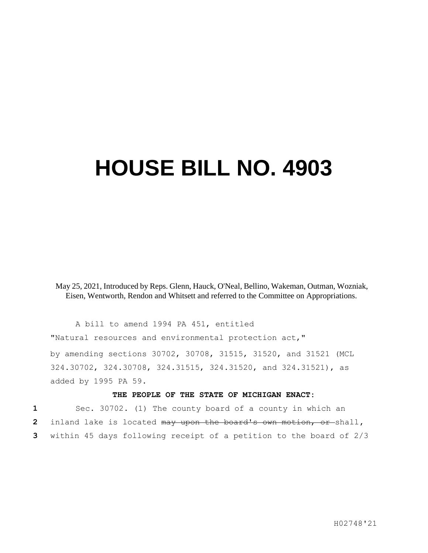## **HOUSE BILL NO. 4903**

May 25, 2021, Introduced by Reps. Glenn, Hauck, O'Neal, Bellino, Wakeman, Outman, Wozniak, Eisen, Wentworth, Rendon and Whitsett and referred to the Committee on Appropriations.

A bill to amend 1994 PA 451, entitled

"Natural resources and environmental protection act,"

by amending sections 30702, 30708, 31515, 31520, and 31521 (MCL 324.30702, 324.30708, 324.31515, 324.31520, and 324.31521), as added by 1995 PA 59.

## **THE PEOPLE OF THE STATE OF MICHIGAN ENACT:**

**1** Sec. 30702. (1) The county board of a county in which an

**2** inland lake is located may upon the board's own motion, or shall**,**

**3** within 45 days following receipt of a petition to the board of 2/3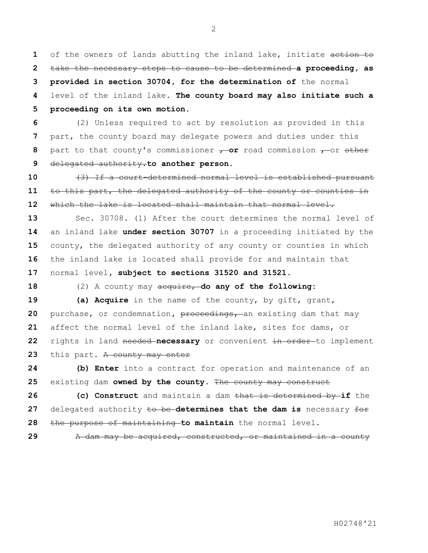of the owners of lands abutting the inland lake, initiate action to take the necessary steps to cause to be determined **a proceeding, as provided in section 30704, for the determination of** the normal level of the inland lake. **The county board may also initiate such a proceeding on its own motion.**

 (2) Unless required to act by resolution as provided in this part, the county board may delegate powers and duties under this part to that county's commissioner  $\rightarrow$  or road commission  $\rightarrow$  or other delegated authority.**to another person.**

 (3) If a court-determined normal level is established pursuant to this part, the delegated authority of the county or counties in which the lake is located shall maintain that normal level.

 Sec. 30708. (1) After the court determines the normal level of an inland lake **under section 30707** in a proceeding initiated by the county, the delegated authority of any county or counties in which the inland lake is located shall provide for and maintain that

normal level**, subject to sections 31520 and 31521**.

(2) A county may acquire, **do any of the following:**

 **(a) Acquire** in the name of the county, by gift, grant, purchase, or condemnation**,** proceedings, an existing dam that may affect the normal level of the inland lake, sites for dams, or rights in land needed **necessary** or convenient in order to implement 23 this part. A county may enter

 **(b) Enter** into a contract for operation and maintenance of an existing dam **owned by the county**. The county may construct

 **(c) Construct** and maintain a dam that is determined by **if** the delegated authority to be **determines that the dam is** necessary for the purpose of maintaining **to maintain** the normal level.

A dam may be acquired, constructed, or maintained in a county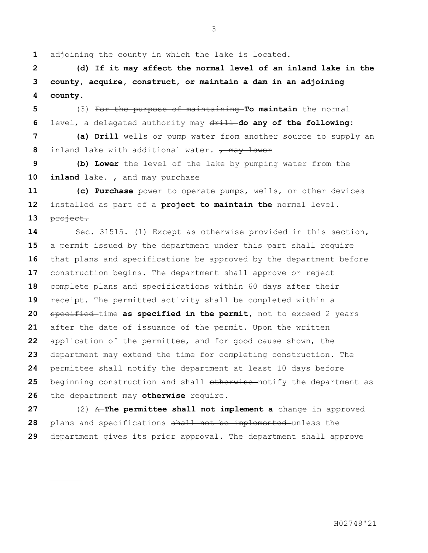adjoining the county in which the lake is located.

 **(d) If it may affect the normal level of an inland lake in the county, acquire, construct, or maintain a dam in an adjoining county.**

 (3) For the purpose of maintaining **To maintain** the normal level, a delegated authority may drill do any of the following:

 **(a) Drill** wells or pump water from another source to supply an inland lake with additional water. **, may lower** 

 **(b) Lower** the level of the lake by pumping water from the **inland** lake**.** , and may purchase

 **(c) Purchase** power to operate pumps, wells, or other devices installed as part of a **project to maintain the** normal level**.** project.

 Sec. 31515. (1) Except as otherwise provided in this section, a permit issued by the department under this part shall require that plans and specifications be approved by the department before construction begins. The department shall approve or reject complete plans and specifications within 60 days after their receipt. The permitted activity shall be completed within a specified time **as specified in the permit,** not to exceed 2 years after the date of issuance of the permit. Upon the written application of the permittee, and for good cause shown, the department may extend the time for completing construction. The permittee shall notify the department at least 10 days before 25 beginning construction and shall otherwise notify the department as the department may **otherwise** require.

 (2) A **The permittee shall not implement a** change in approved plans and specifications shall not be implemented unless the department gives its prior approval. The department shall approve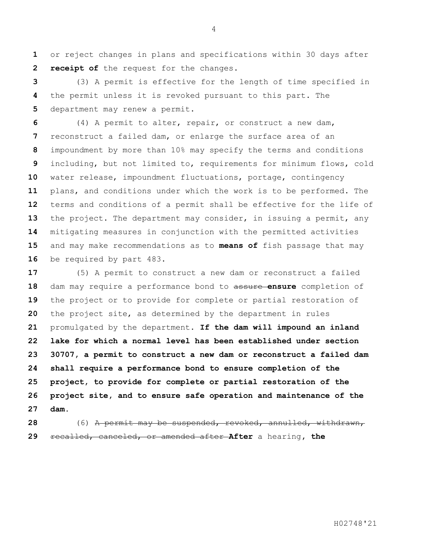or reject changes in plans and specifications within 30 days after **receipt of** the request for the changes.

 (3) A permit is effective for the length of time specified in the permit unless it is revoked pursuant to this part. The department may renew a permit.

 (4) A permit to alter, repair, or construct a new dam, reconstruct a failed dam, or enlarge the surface area of an impoundment by more than 10% may specify the terms and conditions including, but not limited to, requirements for minimum flows, cold water release, impoundment fluctuations, portage, contingency plans, and conditions under which the work is to be performed. The terms and conditions of a permit shall be effective for the life of the project. The department may consider, in issuing a permit, any mitigating measures in conjunction with the permitted activities and may make recommendations as to **means of** fish passage that may be required by part 483.

 (5) A permit to construct a new dam or reconstruct a failed dam may require a performance bond to assure **ensure** completion of the project or to provide for complete or partial restoration of the project site, as determined by the department in rules promulgated by the department. **If the dam will impound an inland lake for which a normal level has been established under section 30707, a permit to construct a new dam or reconstruct a failed dam shall require a performance bond to ensure completion of the project, to provide for complete or partial restoration of the project site, and to ensure safe operation and maintenance of the dam.** 

 (6) A permit may be suspended, revoked, annulled, withdrawn, recalled, canceled, or amended after **After** a hearing**, the**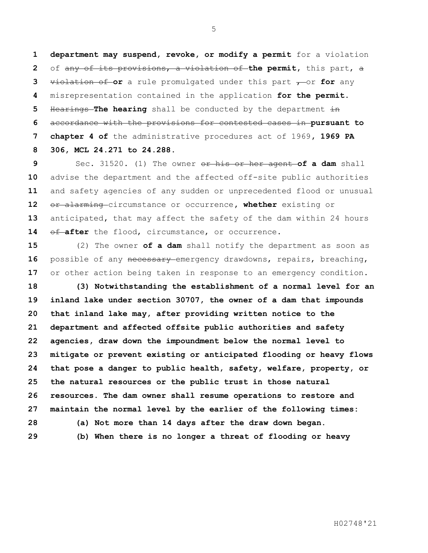**department may suspend, revoke, or modify a permit** for a violation of any of its provisions, a violation of **the permit,** this part, a violation of **or** a rule promulgated under this part , or **for** any misrepresentation contained in the application **for the permit**. Hearings **The hearing** shall be conducted by the department in accordance with the provisions for contested cases in **pursuant to chapter 4 of** the administrative procedures act of 1969**, 1969 PA 306, MCL 24.271 to 24.288**.

 Sec. 31520. (1) The owner or his or her agent **of a dam** shall advise the department and the affected off-site public authorities and safety agencies of any sudden or unprecedented flood or unusual or alarming circumstance or occurrence**, whether** existing or anticipated**,** that may affect the safety of the dam within 24 hours 14 of **after** the flood, circumstance, or occurrence.

 (2) The owner **of a dam** shall notify the department as soon as 16 possible of any necessary emergency drawdowns, repairs, breaching, or other action being taken in response to an emergency condition.

 **(3) Notwithstanding the establishment of a normal level for an inland lake under section 30707, the owner of a dam that impounds that inland lake may, after providing written notice to the department and affected offsite public authorities and safety agencies, draw down the impoundment below the normal level to mitigate or prevent existing or anticipated flooding or heavy flows that pose a danger to public health, safety, welfare, property, or the natural resources or the public trust in those natural resources. The dam owner shall resume operations to restore and maintain the normal level by the earlier of the following times: (a) Not more than 14 days after the draw down began. (b) When there is no longer a threat of flooding or heavy**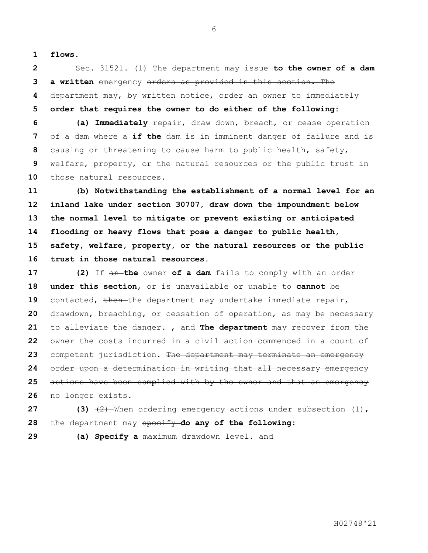**flows.**

 Sec. 31521. (1) The department may issue **to the owner of a dam a written** emergency orders as provided in this section. The department may, by written notice, order an owner to immediately **order that requires the owner to do either of the following:**

 **(a) Immediately** repair, draw down, breach, or cease operation of a dam where a **if the** dam is in imminent danger of failure and is causing or threatening to cause harm to public health, safety, welfare, property, or the natural resources or the public trust in those natural resources.

 **(b) Notwithstanding the establishment of a normal level for an inland lake under section 30707, draw down the impoundment below the normal level to mitigate or prevent existing or anticipated flooding or heavy flows that pose a danger to public health, safety, welfare, property, or the natural resources or the public trust in those natural resources.**

 **(2)** If  $\theta$ **h** the owner of a dam fails to comply with an order **under this section**, or is unavailable or unable to **cannot** be 19 contacted, then the department may undertake immediate repair, drawdown, breaching, or cessation of operation, as may be necessary to alleviate the danger**.** , and **The department** may recover from the owner the costs incurred in a civil action commenced in a court of competent jurisdiction. The department may terminate an emergency order upon a determination in writing that all necessary emergency actions have been complied with by the owner and that an emergency no longer exists.

**27 (3)**  $\left(\frac{2}{2}\right)$  When ordering emergency actions under subsection (1), the department may specify **do any of the following:**

**(a) Specify a** maximum drawdown level**.** and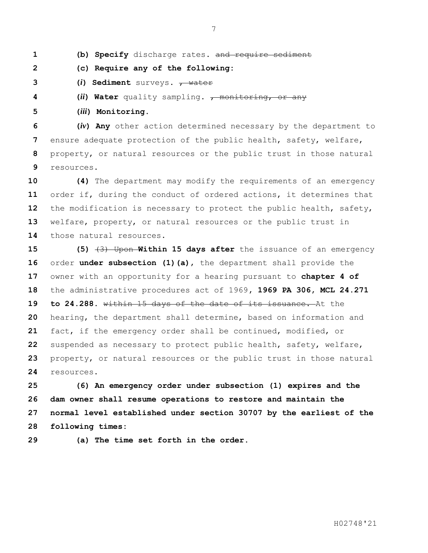**(b) Specify** discharge rates**.** and require sediment

- **(c) Require any of the following:**
- **(***i***) Sediment** surveys**.** , water
- **(***ii***) Water** quality sampling**.** , monitoring, or any
- **(***iii***) Monitoring.**

 **(***iv***) Any** other action determined necessary by the department to ensure adequate protection of the public health, safety, welfare, property, or natural resources or the public trust in those natural resources.

**(4)** The department may modify the requirements of an emergency order if, during the conduct of ordered actions, it determines that the modification is necessary to protect the public health, safety, welfare, property, or natural resources or the public trust in those natural resources.

 **(5)**  $\left(\frac{3}{2}\right)$  Upon Within 15 days after the issuance of an emergency order **under subsection (1)(a)**, the department shall provide the owner with an opportunity for a hearing pursuant to **chapter 4 of**  the administrative procedures act of 1969**, 1969 PA 306, MCL 24.271 to 24.288.** within 15 days of the date of its issuance. At the hearing, the department shall determine, based on information and fact, if the emergency order shall be continued, modified, or suspended as necessary to protect public health, safety, welfare, property, or natural resources or the public trust in those natural resources.

 **(6) An emergency order under subsection (1) expires and the dam owner shall resume operations to restore and maintain the normal level established under section 30707 by the earliest of the following times:**

**(a) The time set forth in the order.**